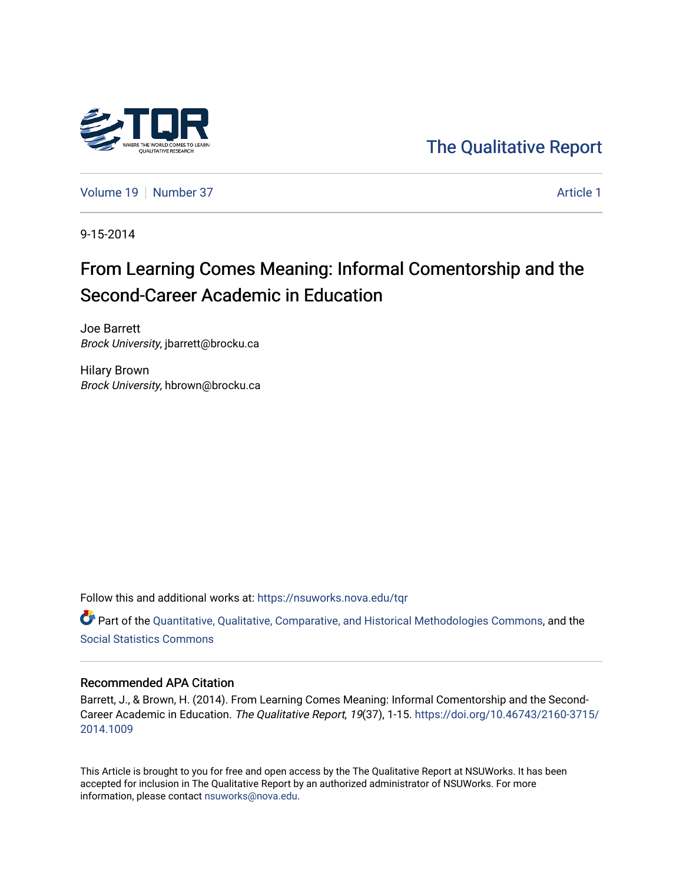

[The Qualitative Report](https://nsuworks.nova.edu/tqr) 

[Volume 19](https://nsuworks.nova.edu/tqr/vol19) [Number 37](https://nsuworks.nova.edu/tqr/vol19/iss37) [Article 1](https://nsuworks.nova.edu/tqr/vol19/iss37/1) Number 37

9-15-2014

# From Learning Comes Meaning: Informal Comentorship and the Second-Career Academic in Education

Joe Barrett Brock University, jbarrett@brocku.ca

Hilary Brown Brock University, hbrown@brocku.ca

Follow this and additional works at: [https://nsuworks.nova.edu/tqr](https://nsuworks.nova.edu/tqr?utm_source=nsuworks.nova.edu%2Ftqr%2Fvol19%2Fiss37%2F1&utm_medium=PDF&utm_campaign=PDFCoverPages) 

Part of the [Quantitative, Qualitative, Comparative, and Historical Methodologies Commons,](http://network.bepress.com/hgg/discipline/423?utm_source=nsuworks.nova.edu%2Ftqr%2Fvol19%2Fiss37%2F1&utm_medium=PDF&utm_campaign=PDFCoverPages) and the [Social Statistics Commons](http://network.bepress.com/hgg/discipline/1275?utm_source=nsuworks.nova.edu%2Ftqr%2Fvol19%2Fiss37%2F1&utm_medium=PDF&utm_campaign=PDFCoverPages) 

#### Recommended APA Citation

Barrett, J., & Brown, H. (2014). From Learning Comes Meaning: Informal Comentorship and the Second-Career Academic in Education. The Qualitative Report, 19(37), 1-15. [https://doi.org/10.46743/2160-3715/](https://doi.org/10.46743/2160-3715/2014.1009) [2014.1009](https://doi.org/10.46743/2160-3715/2014.1009) 

This Article is brought to you for free and open access by the The Qualitative Report at NSUWorks. It has been accepted for inclusion in The Qualitative Report by an authorized administrator of NSUWorks. For more information, please contact [nsuworks@nova.edu.](mailto:nsuworks@nova.edu)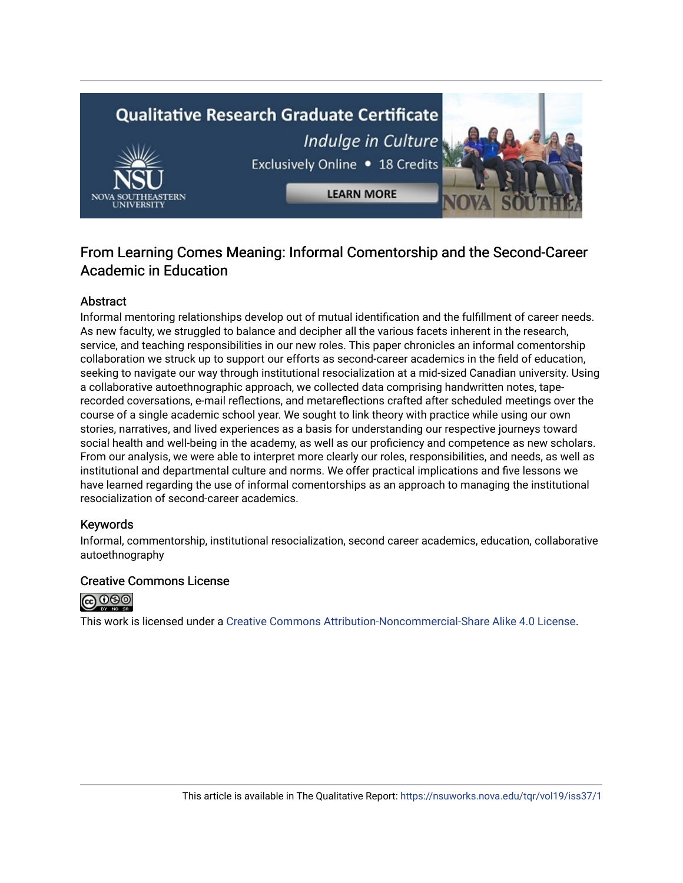# **Qualitative Research Graduate Certificate** Indulge in Culture Exclusively Online . 18 Credits **LEARN MORE**

# From Learning Comes Meaning: Informal Comentorship and the Second-Career Academic in Education

# **Abstract**

Informal mentoring relationships develop out of mutual identification and the fulfillment of career needs. As new faculty, we struggled to balance and decipher all the various facets inherent in the research, service, and teaching responsibilities in our new roles. This paper chronicles an informal comentorship collaboration we struck up to support our efforts as second-career academics in the field of education, seeking to navigate our way through institutional resocialization at a mid-sized Canadian university. Using a collaborative autoethnographic approach, we collected data comprising handwritten notes, taperecorded coversations, e-mail reflections, and metareflections crafted after scheduled meetings over the course of a single academic school year. We sought to link theory with practice while using our own stories, narratives, and lived experiences as a basis for understanding our respective journeys toward social health and well-being in the academy, as well as our proficiency and competence as new scholars. From our analysis, we were able to interpret more clearly our roles, responsibilities, and needs, as well as institutional and departmental culture and norms. We offer practical implications and five lessons we have learned regarding the use of informal comentorships as an approach to managing the institutional resocialization of second-career academics.

# Keywords

Informal, commentorship, institutional resocialization, second career academics, education, collaborative autoethnography

# Creative Commons License



This work is licensed under a [Creative Commons Attribution-Noncommercial-Share Alike 4.0 License](https://creativecommons.org/licenses/by-nc-sa/4.0/).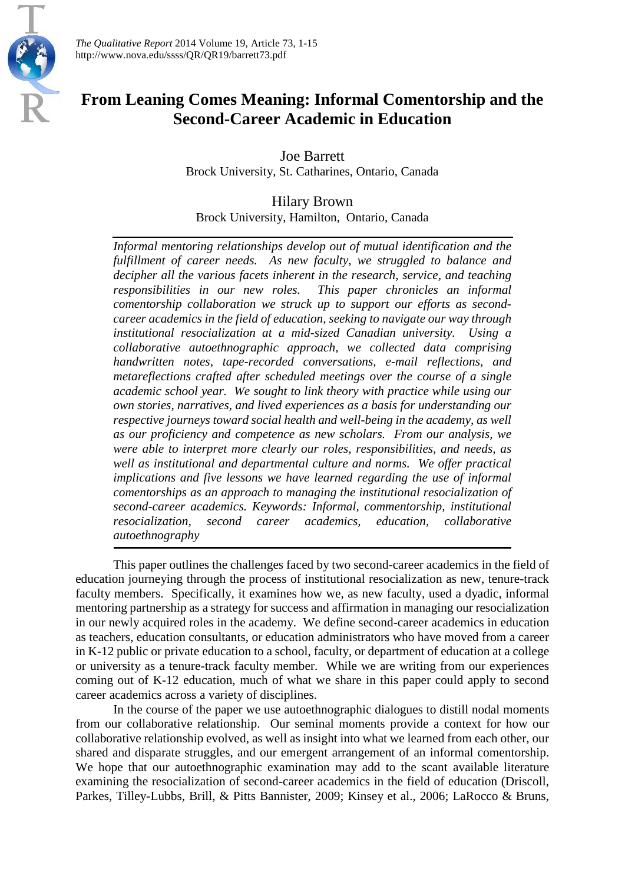

*The Qualitative Report* 2014 Volume 19, Article 73, 1-15 http://www.nova.edu/ssss/QR/QR19/barrett73.pdf

# **From Leaning Comes Meaning: Informal Comentorship and the Second-Career Academic in Education**

Joe Barrett Brock University, St. Catharines, Ontario, Canada

Hilary Brown Brock University, Hamilton, Ontario, Canada

*Informal mentoring relationships develop out of mutual identification and the fulfillment of career needs. As new faculty, we struggled to balance and decipher all the various facets inherent in the research, service, and teaching responsibilities in our new roles. This paper chronicles an informal comentorship collaboration we struck up to support our efforts as secondcareer academics in the field of education, seeking to navigate our way through institutional resocialization at a mid-sized Canadian university. Using a collaborative autoethnographic approach, we collected data comprising handwritten notes, tape-recorded conversations, e-mail reflections, and metareflections crafted after scheduled meetings over the course of a single academic school year. We sought to link theory with practice while using our own stories, narratives, and lived experiences as a basis for understanding our respective journeys toward social health and well-being in the academy, as well as our proficiency and competence as new scholars. From our analysis, we were able to interpret more clearly our roles, responsibilities, and needs, as well as institutional and departmental culture and norms. We offer practical implications and five lessons we have learned regarding the use of informal comentorships as an approach to managing the institutional resocialization of second-career academics. Keywords: Informal, commentorship, institutional resocialization, second career academics, education, collaborative autoethnography* 

This paper outlines the challenges faced by two second-career academics in the field of education journeying through the process of institutional resocialization as new, tenure-track faculty members. Specifically, it examines how we, as new faculty, used a dyadic, informal mentoring partnership as a strategy for success and affirmation in managing our resocialization in our newly acquired roles in the academy. We define second-career academics in education as teachers, education consultants, or education administrators who have moved from a career in K-12 public or private education to a school, faculty, or department of education at a college or university as a tenure-track faculty member. While we are writing from our experiences coming out of K-12 education, much of what we share in this paper could apply to second career academics across a variety of disciplines.

In the course of the paper we use autoethnographic dialogues to distill nodal moments from our collaborative relationship. Our seminal moments provide a context for how our collaborative relationship evolved, as well as insight into what we learned from each other, our shared and disparate struggles, and our emergent arrangement of an informal comentorship. We hope that our autoethnographic examination may add to the scant available literature examining the resocialization of second-career academics in the field of education (Driscoll, Parkes, Tilley-Lubbs, Brill, & Pitts Bannister, 2009; Kinsey et al., 2006; LaRocco & Bruns,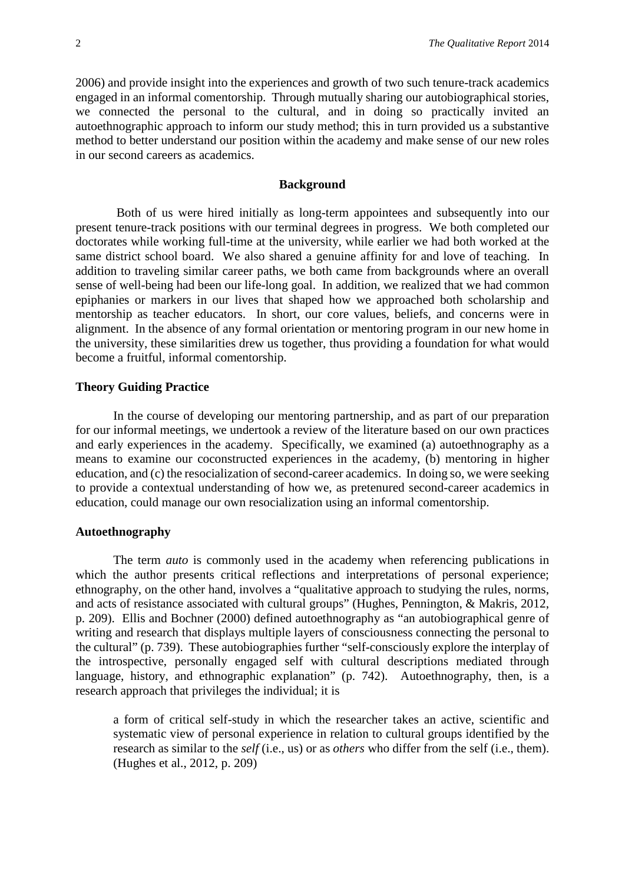2006) and provide insight into the experiences and growth of two such tenure-track academics engaged in an informal comentorship. Through mutually sharing our autobiographical stories, we connected the personal to the cultural, and in doing so practically invited an autoethnographic approach to inform our study method; this in turn provided us a substantive method to better understand our position within the academy and make sense of our new roles in our second careers as academics.

# **Background**

Both of us were hired initially as long-term appointees and subsequently into our present tenure-track positions with our terminal degrees in progress. We both completed our doctorates while working full-time at the university, while earlier we had both worked at the same district school board. We also shared a genuine affinity for and love of teaching. In addition to traveling similar career paths, we both came from backgrounds where an overall sense of well-being had been our life-long goal. In addition, we realized that we had common epiphanies or markers in our lives that shaped how we approached both scholarship and mentorship as teacher educators. In short, our core values, beliefs, and concerns were in alignment. In the absence of any formal orientation or mentoring program in our new home in the university, these similarities drew us together, thus providing a foundation for what would become a fruitful, informal comentorship.

#### **Theory Guiding Practice**

In the course of developing our mentoring partnership, and as part of our preparation for our informal meetings, we undertook a review of the literature based on our own practices and early experiences in the academy. Specifically, we examined (a) autoethnography as a means to examine our coconstructed experiences in the academy, (b) mentoring in higher education, and (c) the resocialization of second-career academics. In doing so, we were seeking to provide a contextual understanding of how we, as pretenured second-career academics in education, could manage our own resocialization using an informal comentorship.

#### **Autoethnography**

The term *auto* is commonly used in the academy when referencing publications in which the author presents critical reflections and interpretations of personal experience; ethnography, on the other hand, involves a "qualitative approach to studying the rules, norms, and acts of resistance associated with cultural groups" (Hughes, Pennington, & Makris, 2012, p. 209). Ellis and Bochner (2000) defined autoethnography as "an autobiographical genre of writing and research that displays multiple layers of consciousness connecting the personal to the cultural" (p. 739). These autobiographies further "self-consciously explore the interplay of the introspective, personally engaged self with cultural descriptions mediated through language, history, and ethnographic explanation" (p. 742). Autoethnography, then, is a research approach that privileges the individual; it is

a form of critical self-study in which the researcher takes an active, scientific and systematic view of personal experience in relation to cultural groups identified by the research as similar to the *self* (i.e., us) or as *others* who differ from the self (i.e., them). (Hughes et al., 2012, p. 209)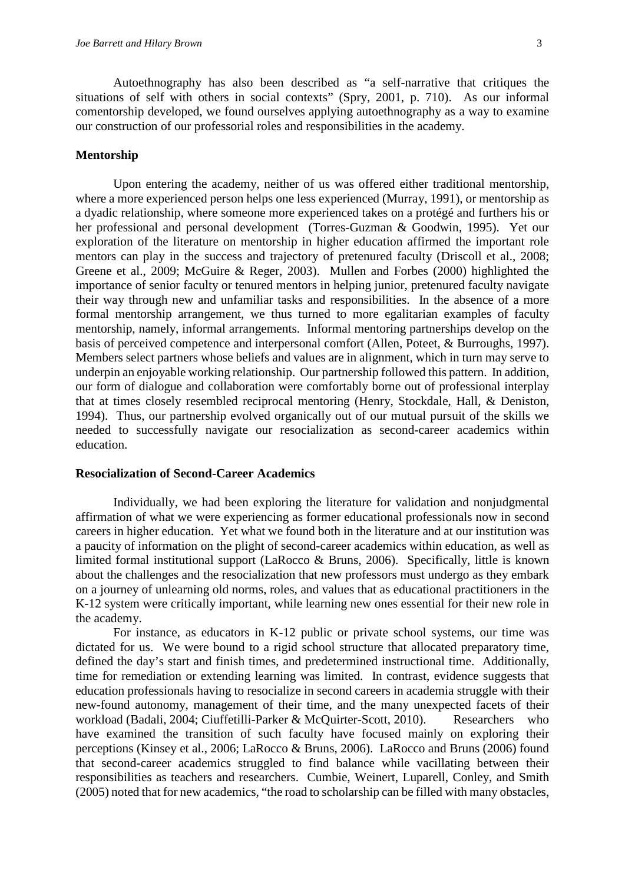Autoethnography has also been described as "a self-narrative that critiques the situations of self with others in social contexts" (Spry, 2001, p. 710). As our informal comentorship developed, we found ourselves applying autoethnography as a way to examine our construction of our professorial roles and responsibilities in the academy.

#### **Mentorship**

Upon entering the academy, neither of us was offered either traditional mentorship, where a more experienced person helps one less experienced (Murray, 1991), or mentorship as a dyadic relationship, where someone more experienced takes on a protégé and furthers his or her professional and personal development (Torres-Guzman & Goodwin, 1995). Yet our exploration of the literature on mentorship in higher education affirmed the important role mentors can play in the success and trajectory of pretenured faculty (Driscoll et al., 2008; Greene et al., 2009; McGuire & Reger, 2003). Mullen and Forbes (2000) highlighted the importance of senior faculty or tenured mentors in helping junior, pretenured faculty navigate their way through new and unfamiliar tasks and responsibilities. In the absence of a more formal mentorship arrangement, we thus turned to more egalitarian examples of faculty mentorship, namely, informal arrangements. Informal mentoring partnerships develop on the basis of perceived competence and interpersonal comfort (Allen, Poteet, & Burroughs, 1997). Members select partners whose beliefs and values are in alignment, which in turn may serve to underpin an enjoyable working relationship. Our partnership followed this pattern. In addition, our form of dialogue and collaboration were comfortably borne out of professional interplay that at times closely resembled reciprocal mentoring (Henry, Stockdale, Hall, & Deniston, 1994). Thus, our partnership evolved organically out of our mutual pursuit of the skills we needed to successfully navigate our resocialization as second-career academics within education.

#### **Resocialization of Second-Career Academics**

Individually, we had been exploring the literature for validation and nonjudgmental affirmation of what we were experiencing as former educational professionals now in second careers in higher education. Yet what we found both in the literature and at our institution was a paucity of information on the plight of second-career academics within education, as well as limited formal institutional support (LaRocco & Bruns, 2006). Specifically, little is known about the challenges and the resocialization that new professors must undergo as they embark on a journey of unlearning old norms, roles, and values that as educational practitioners in the K-12 system were critically important, while learning new ones essential for their new role in the academy.

For instance, as educators in K-12 public or private school systems, our time was dictated for us. We were bound to a rigid school structure that allocated preparatory time, defined the day's start and finish times, and predetermined instructional time. Additionally, time for remediation or extending learning was limited. In contrast, evidence suggests that education professionals having to resocialize in second careers in academia struggle with their new-found autonomy, management of their time, and the many unexpected facets of their workload (Badali, 2004; Ciuffetilli-Parker & McQuirter-Scott, 2010). Researchers who have examined the transition of such faculty have focused mainly on exploring their perceptions (Kinsey et al., 2006; LaRocco & Bruns, 2006). LaRocco and Bruns (2006) found that second-career academics struggled to find balance while vacillating between their responsibilities as teachers and researchers. Cumbie, Weinert, Luparell, Conley, and Smith (2005) noted that for new academics, "the road to scholarship can be filled with many obstacles,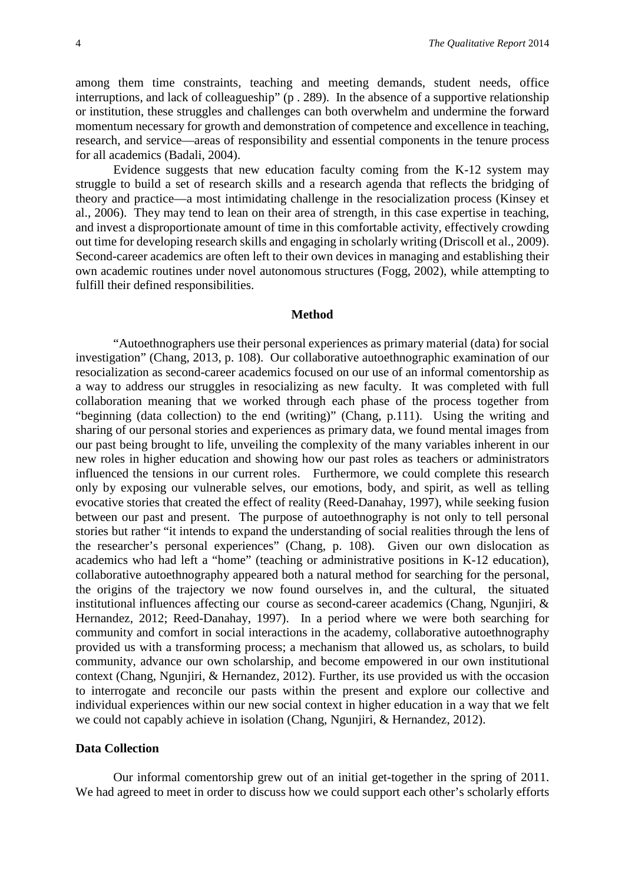among them time constraints, teaching and meeting demands, student needs, office interruptions, and lack of colleagueship" (p . 289). In the absence of a supportive relationship or institution, these struggles and challenges can both overwhelm and undermine the forward momentum necessary for growth and demonstration of competence and excellence in teaching, research, and service—areas of responsibility and essential components in the tenure process for all academics (Badali, 2004).

Evidence suggests that new education faculty coming from the K-12 system may struggle to build a set of research skills and a research agenda that reflects the bridging of theory and practice—a most intimidating challenge in the resocialization process (Kinsey et al., 2006). They may tend to lean on their area of strength, in this case expertise in teaching, and invest a disproportionate amount of time in this comfortable activity, effectively crowding out time for developing research skills and engaging in scholarly writing (Driscoll et al., 2009). Second-career academics are often left to their own devices in managing and establishing their own academic routines under novel autonomous structures (Fogg, 2002), while attempting to fulfill their defined responsibilities.

#### **Method**

"Autoethnographers use their personal experiences as primary material (data) for social investigation" (Chang, 2013, p. 108). Our collaborative autoethnographic examination of our resocialization as second-career academics focused on our use of an informal comentorship as a way to address our struggles in resocializing as new faculty. It was completed with full collaboration meaning that we worked through each phase of the process together from "beginning (data collection) to the end (writing)" (Chang, p.111). Using the writing and sharing of our personal stories and experiences as primary data, we found mental images from our past being brought to life, unveiling the complexity of the many variables inherent in our new roles in higher education and showing how our past roles as teachers or administrators influenced the tensions in our current roles. Furthermore, we could complete this research only by exposing our vulnerable selves, our emotions, body, and spirit, as well as telling evocative stories that created the effect of reality (Reed-Danahay, 1997), while seeking fusion between our past and present. The purpose of autoethnography is not only to tell personal stories but rather "it intends to expand the understanding of social realities through the lens of the researcher's personal experiences" (Chang, p. 108). Given our own dislocation as academics who had left a "home" (teaching or administrative positions in K-12 education), collaborative autoethnography appeared both a natural method for searching for the personal, the origins of the trajectory we now found ourselves in, and the cultural, the situated institutional influences affecting our course as second-career academics (Chang, Ngunjiri, & Hernandez, 2012; Reed-Danahay, 1997). In a period where we were both searching for community and comfort in social interactions in the academy, collaborative autoethnography provided us with a transforming process; a mechanism that allowed us, as scholars, to build community, advance our own scholarship, and become empowered in our own institutional context (Chang, Ngunjiri, & Hernandez, 2012). Further, its use provided us with the occasion to interrogate and reconcile our pasts within the present and explore our collective and individual experiences within our new social context in higher education in a way that we felt we could not capably achieve in isolation (Chang, Ngunjiri, & Hernandez, 2012).

#### **Data Collection**

Our informal comentorship grew out of an initial get-together in the spring of 2011. We had agreed to meet in order to discuss how we could support each other's scholarly efforts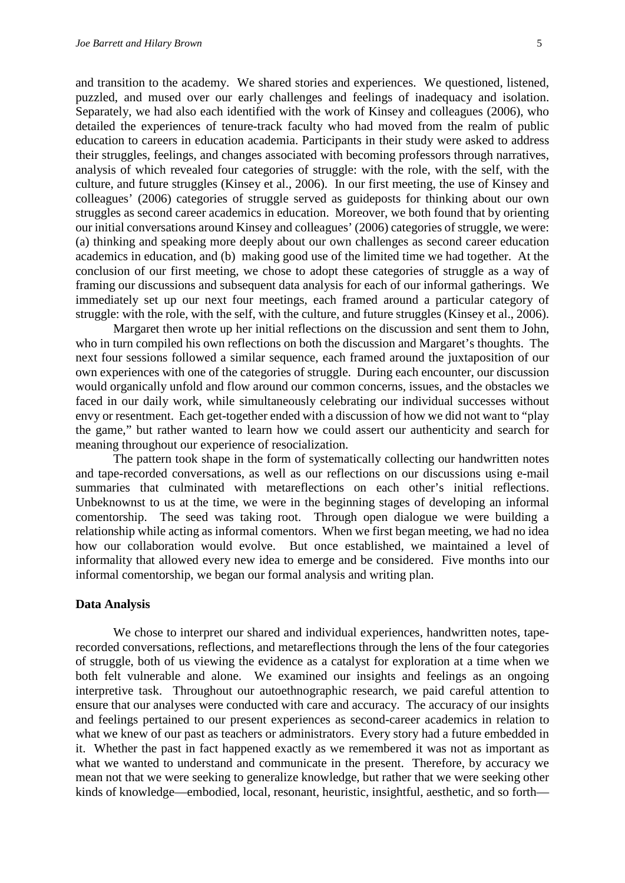and transition to the academy. We shared stories and experiences. We questioned, listened, puzzled, and mused over our early challenges and feelings of inadequacy and isolation. Separately, we had also each identified with the work of Kinsey and colleagues (2006), who detailed the experiences of tenure-track faculty who had moved from the realm of public education to careers in education academia. Participants in their study were asked to address their struggles, feelings, and changes associated with becoming professors through narratives, analysis of which revealed four categories of struggle: with the role, with the self, with the culture, and future struggles (Kinsey et al., 2006). In our first meeting, the use of Kinsey and colleagues' (2006) categories of struggle served as guideposts for thinking about our own struggles as second career academics in education. Moreover, we both found that by orienting our initial conversations around Kinsey and colleagues' (2006) categories of struggle, we were: (a) thinking and speaking more deeply about our own challenges as second career education academics in education, and (b) making good use of the limited time we had together. At the conclusion of our first meeting, we chose to adopt these categories of struggle as a way of framing our discussions and subsequent data analysis for each of our informal gatherings. We immediately set up our next four meetings, each framed around a particular category of struggle: with the role, with the self, with the culture, and future struggles (Kinsey et al., 2006).

Margaret then wrote up her initial reflections on the discussion and sent them to John, who in turn compiled his own reflections on both the discussion and Margaret's thoughts. The next four sessions followed a similar sequence, each framed around the juxtaposition of our own experiences with one of the categories of struggle. During each encounter, our discussion would organically unfold and flow around our common concerns, issues, and the obstacles we faced in our daily work, while simultaneously celebrating our individual successes without envy or resentment. Each get-together ended with a discussion of how we did not want to "play the game," but rather wanted to learn how we could assert our authenticity and search for meaning throughout our experience of resocialization.

The pattern took shape in the form of systematically collecting our handwritten notes and tape-recorded conversations, as well as our reflections on our discussions using e-mail summaries that culminated with metareflections on each other's initial reflections. Unbeknownst to us at the time, we were in the beginning stages of developing an informal comentorship. The seed was taking root. Through open dialogue we were building a relationship while acting as informal comentors. When we first began meeting, we had no idea how our collaboration would evolve. But once established, we maintained a level of informality that allowed every new idea to emerge and be considered. Five months into our informal comentorship, we began our formal analysis and writing plan.

#### **Data Analysis**

We chose to interpret our shared and individual experiences, handwritten notes, taperecorded conversations, reflections, and metareflections through the lens of the four categories of struggle, both of us viewing the evidence as a catalyst for exploration at a time when we both felt vulnerable and alone. We examined our insights and feelings as an ongoing interpretive task. Throughout our autoethnographic research, we paid careful attention to ensure that our analyses were conducted with care and accuracy. The accuracy of our insights and feelings pertained to our present experiences as second-career academics in relation to what we knew of our past as teachers or administrators. Every story had a future embedded in it. Whether the past in fact happened exactly as we remembered it was not as important as what we wanted to understand and communicate in the present. Therefore, by accuracy we mean not that we were seeking to generalize knowledge, but rather that we were seeking other kinds of knowledge—embodied, local, resonant, heuristic, insightful, aesthetic, and so forth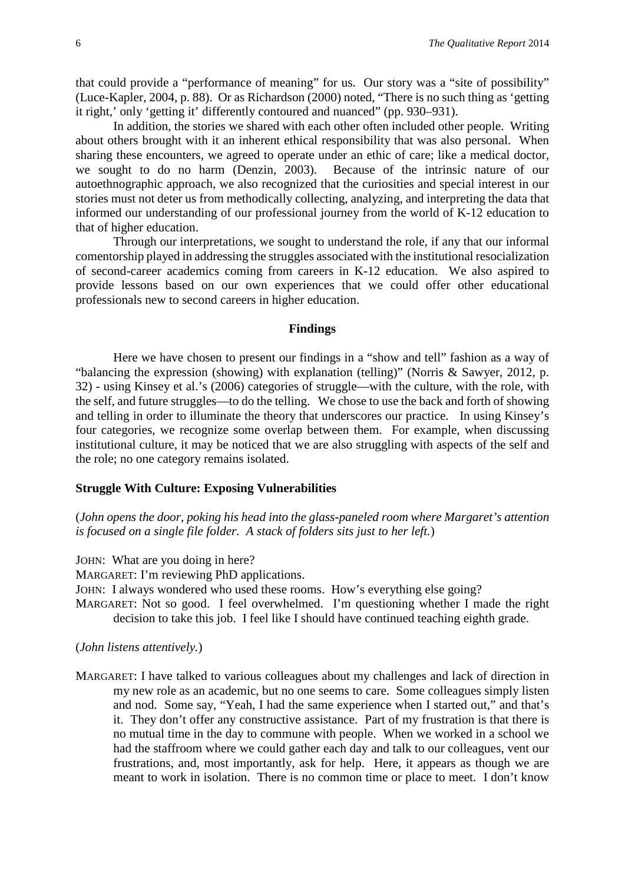that could provide a "performance of meaning" for us. Our story was a "site of possibility" (Luce-Kapler, 2004, p. 88). Or as Richardson (2000) noted, "There is no such thing as 'getting it right,' only 'getting it' differently contoured and nuanced" (pp. 930–931).

In addition, the stories we shared with each other often included other people. Writing about others brought with it an inherent ethical responsibility that was also personal. When sharing these encounters, we agreed to operate under an ethic of care; like a medical doctor, we sought to do no harm (Denzin, 2003). Because of the intrinsic nature of our autoethnographic approach, we also recognized that the curiosities and special interest in our stories must not deter us from methodically collecting, analyzing, and interpreting the data that informed our understanding of our professional journey from the world of K-12 education to that of higher education.

Through our interpretations, we sought to understand the role, if any that our informal comentorship played in addressing the struggles associated with the institutional resocialization of second-career academics coming from careers in K-12 education. We also aspired to provide lessons based on our own experiences that we could offer other educational professionals new to second careers in higher education.

#### **Findings**

Here we have chosen to present our findings in a "show and tell" fashion as a way of "balancing the expression (showing) with explanation (telling)" (Norris & Sawyer, 2012, p. 32) - using Kinsey et al.'s (2006) categories of struggle—with the culture, with the role, with the self, and future struggles—to do the telling. We chose to use the back and forth of showing and telling in order to illuminate the theory that underscores our practice. In using Kinsey's four categories, we recognize some overlap between them. For example, when discussing institutional culture, it may be noticed that we are also struggling with aspects of the self and the role; no one category remains isolated.

# **Struggle With Culture: Exposing Vulnerabilities**

(*John opens the door, poking his head into the glass-paneled room where Margaret's attention is focused on a single file folder. A stack of folders sits just to her left.*)

JOHN: What are you doing in here?

MARGARET: I'm reviewing PhD applications.

JOHN: I always wondered who used these rooms. How's everything else going?

MARGARET: Not so good. I feel overwhelmed. I'm questioning whether I made the right decision to take this job. I feel like I should have continued teaching eighth grade.

#### (*John listens attentively.*)

MARGARET: I have talked to various colleagues about my challenges and lack of direction in my new role as an academic, but no one seems to care. Some colleagues simply listen and nod. Some say, "Yeah, I had the same experience when I started out," and that's it. They don't offer any constructive assistance. Part of my frustration is that there is no mutual time in the day to commune with people. When we worked in a school we had the staffroom where we could gather each day and talk to our colleagues, vent our frustrations, and, most importantly, ask for help. Here, it appears as though we are meant to work in isolation. There is no common time or place to meet. I don't know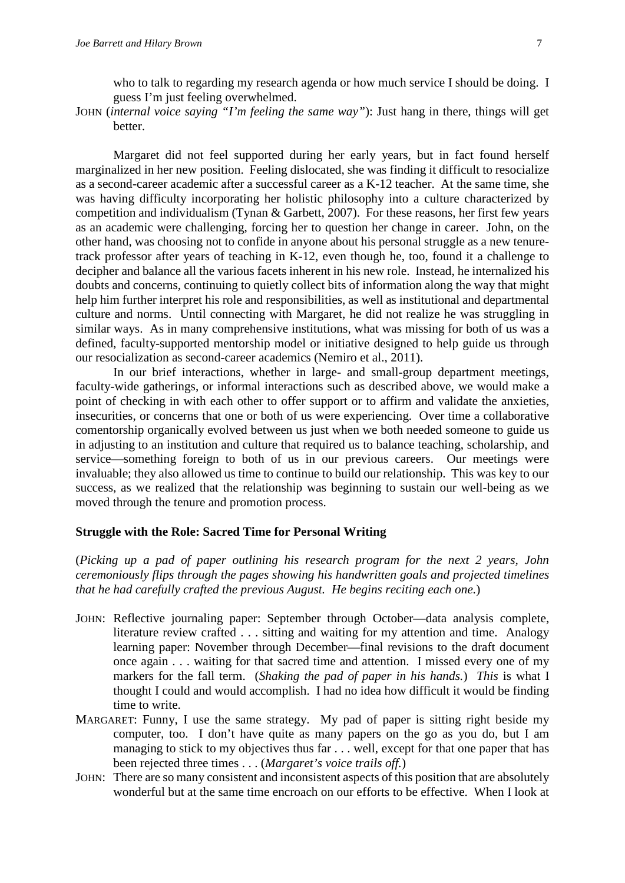who to talk to regarding my research agenda or how much service I should be doing. I guess I'm just feeling overwhelmed.

JOHN (*internal voice saying "I'm feeling the same way"*): Just hang in there, things will get better.

Margaret did not feel supported during her early years, but in fact found herself marginalized in her new position. Feeling dislocated, she was finding it difficult to resocialize as a second-career academic after a successful career as a K-12 teacher. At the same time, she was having difficulty incorporating her holistic philosophy into a culture characterized by competition and individualism (Tynan & Garbett, 2007). For these reasons, her first few years as an academic were challenging, forcing her to question her change in career. John, on the other hand, was choosing not to confide in anyone about his personal struggle as a new tenuretrack professor after years of teaching in K-12, even though he, too, found it a challenge to decipher and balance all the various facets inherent in his new role. Instead, he internalized his doubts and concerns, continuing to quietly collect bits of information along the way that might help him further interpret his role and responsibilities, as well as institutional and departmental culture and norms. Until connecting with Margaret, he did not realize he was struggling in similar ways. As in many comprehensive institutions, what was missing for both of us was a defined, faculty-supported mentorship model or initiative designed to help guide us through our resocialization as second-career academics (Nemiro et al., 2011).

In our brief interactions, whether in large- and small-group department meetings, faculty-wide gatherings, or informal interactions such as described above, we would make a point of checking in with each other to offer support or to affirm and validate the anxieties, insecurities, or concerns that one or both of us were experiencing. Over time a collaborative comentorship organically evolved between us just when we both needed someone to guide us in adjusting to an institution and culture that required us to balance teaching, scholarship, and service—something foreign to both of us in our previous careers. Our meetings were invaluable; they also allowed us time to continue to build our relationship. This was key to our success, as we realized that the relationship was beginning to sustain our well-being as we moved through the tenure and promotion process.

# **Struggle with the Role: Sacred Time for Personal Writing**

(*Picking up a pad of paper outlining his research program for the next 2 years, John ceremoniously flips through the pages showing his handwritten goals and projected timelines that he had carefully crafted the previous August. He begins reciting each one.*)

- JOHN: Reflective journaling paper: September through October—data analysis complete, literature review crafted . . . sitting and waiting for my attention and time. Analogy learning paper: November through December—final revisions to the draft document once again . . . waiting for that sacred time and attention. I missed every one of my markers for the fall term. (*Shaking the pad of paper in his hands.*) *This* is what I thought I could and would accomplish. I had no idea how difficult it would be finding time to write.
- MARGARET: Funny, I use the same strategy. My pad of paper is sitting right beside my computer, too. I don't have quite as many papers on the go as you do, but I am managing to stick to my objectives thus far . . . well, except for that one paper that has been rejected three times . . . (*Margaret's voice trails off.*)
- JOHN: There are so many consistent and inconsistent aspects of this position that are absolutely wonderful but at the same time encroach on our efforts to be effective. When I look at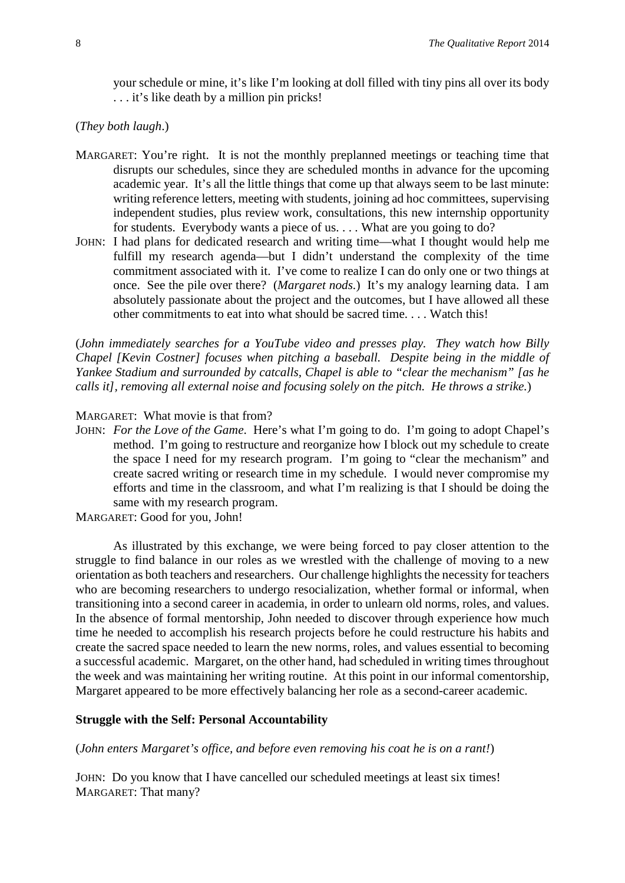your schedule or mine, it's like I'm looking at doll filled with tiny pins all over its body . . . it's like death by a million pin pricks!

# (*They both laugh*.)

- MARGARET: You're right. It is not the monthly preplanned meetings or teaching time that disrupts our schedules, since they are scheduled months in advance for the upcoming academic year. It's all the little things that come up that always seem to be last minute: writing reference letters, meeting with students, joining ad hoc committees, supervising independent studies, plus review work, consultations, this new internship opportunity for students. Everybody wants a piece of us. . . . What are you going to do?
- JOHN: I had plans for dedicated research and writing time—what I thought would help me fulfill my research agenda—but I didn't understand the complexity of the time commitment associated with it. I've come to realize I can do only one or two things at once. See the pile over there? (*Margaret nods.*) It's my analogy learning data. I am absolutely passionate about the project and the outcomes, but I have allowed all these other commitments to eat into what should be sacred time. . . . Watch this!

(*John immediately searches for a YouTube video and presses play. They watch how Billy Chapel [Kevin Costner] focuses when pitching a baseball. Despite being in the middle of Yankee Stadium and surrounded by catcalls, Chapel is able to "clear the mechanism" [as he calls it], removing all external noise and focusing solely on the pitch. He throws a strike.*)

#### MARGARET: What movie is that from?

JOHN: *For the Love of the Game*. Here's what I'm going to do. I'm going to adopt Chapel's method. I'm going to restructure and reorganize how I block out my schedule to create the space I need for my research program. I'm going to "clear the mechanism" and create sacred writing or research time in my schedule. I would never compromise my efforts and time in the classroom, and what I'm realizing is that I should be doing the same with my research program.

MARGARET: Good for you, John!

As illustrated by this exchange, we were being forced to pay closer attention to the struggle to find balance in our roles as we wrestled with the challenge of moving to a new orientation as both teachers and researchers. Our challenge highlights the necessity for teachers who are becoming researchers to undergo resocialization, whether formal or informal, when transitioning into a second career in academia, in order to unlearn old norms, roles, and values. In the absence of formal mentorship, John needed to discover through experience how much time he needed to accomplish his research projects before he could restructure his habits and create the sacred space needed to learn the new norms, roles, and values essential to becoming a successful academic. Margaret, on the other hand, had scheduled in writing times throughout the week and was maintaining her writing routine. At this point in our informal comentorship, Margaret appeared to be more effectively balancing her role as a second-career academic.

#### **Struggle with the Self: Personal Accountability**

(*John enters Margaret's office, and before even removing his coat he is on a rant!*)

JOHN: Do you know that I have cancelled our scheduled meetings at least six times! MARGARET: That many?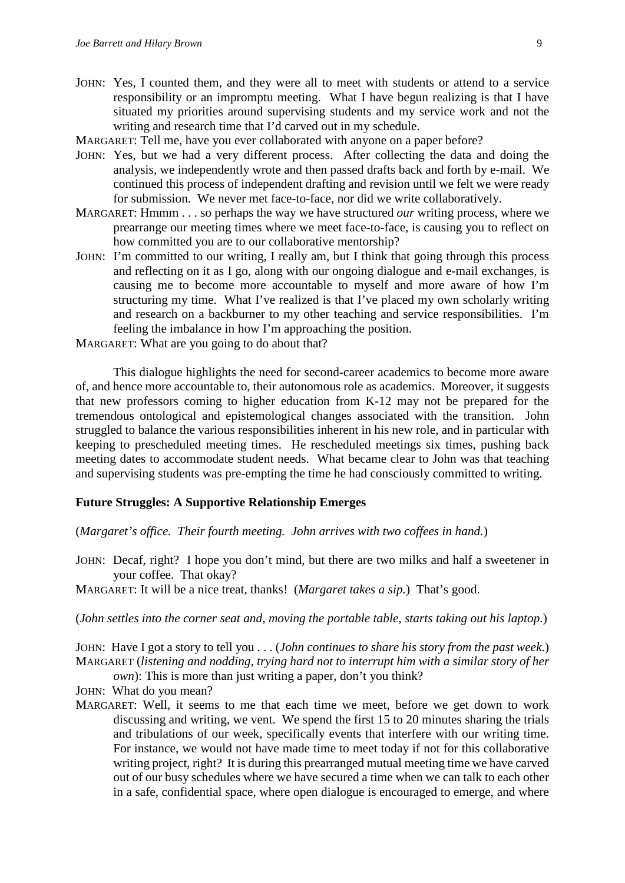- JOHN: Yes, I counted them, and they were all to meet with students or attend to a service responsibility or an impromptu meeting. What I have begun realizing is that I have situated my priorities around supervising students and my service work and not the writing and research time that I'd carved out in my schedule.
- MARGARET: Tell me, have you ever collaborated with anyone on a paper before?
- JOHN: Yes, but we had a very different process. After collecting the data and doing the analysis, we independently wrote and then passed drafts back and forth by e-mail. We continued this process of independent drafting and revision until we felt we were ready for submission. We never met face-to-face, nor did we write collaboratively.
- MARGARET: Hmmm . . . so perhaps the way we have structured *our* writing process, where we prearrange our meeting times where we meet face-to-face, is causing you to reflect on how committed you are to our collaborative mentorship?
- JOHN: I'm committed to our writing, I really am, but I think that going through this process and reflecting on it as I go, along with our ongoing dialogue and e-mail exchanges, is causing me to become more accountable to myself and more aware of how I'm structuring my time. What I've realized is that I've placed my own scholarly writing and research on a backburner to my other teaching and service responsibilities. I'm feeling the imbalance in how I'm approaching the position.
- MARGARET: What are you going to do about that?

This dialogue highlights the need for second-career academics to become more aware of, and hence more accountable to, their autonomous role as academics. Moreover, it suggests that new professors coming to higher education from K-12 may not be prepared for the tremendous ontological and epistemological changes associated with the transition. John struggled to balance the various responsibilities inherent in his new role, and in particular with keeping to prescheduled meeting times. He rescheduled meetings six times, pushing back meeting dates to accommodate student needs. What became clear to John was that teaching and supervising students was pre-empting the time he had consciously committed to writing.

#### **Future Struggles: A Supportive Relationship Emerges**

#### (*Margaret's office. Their fourth meeting. John arrives with two coffees in hand.*)

- JOHN: Decaf, right? I hope you don't mind, but there are two milks and half a sweetener in your coffee. That okay?
- MARGARET: It will be a nice treat, thanks! (*Margaret takes a sip.*) That's good.

# (*John settles into the corner seat and, moving the portable table, starts taking out his laptop.*)

JOHN: Have I got a story to tell you . . . (*John continues to share his story from the past week*.) MARGARET (*listening and nodding, trying hard not to interrupt him with a similar story of her* 

*own*): This is more than just writing a paper, don't you think?

JOHN: What do you mean?

MARGARET: Well, it seems to me that each time we meet, before we get down to work discussing and writing, we vent. We spend the first 15 to 20 minutes sharing the trials and tribulations of our week, specifically events that interfere with our writing time. For instance, we would not have made time to meet today if not for this collaborative writing project, right? It is during this prearranged mutual meeting time we have carved out of our busy schedules where we have secured a time when we can talk to each other in a safe, confidential space, where open dialogue is encouraged to emerge, and where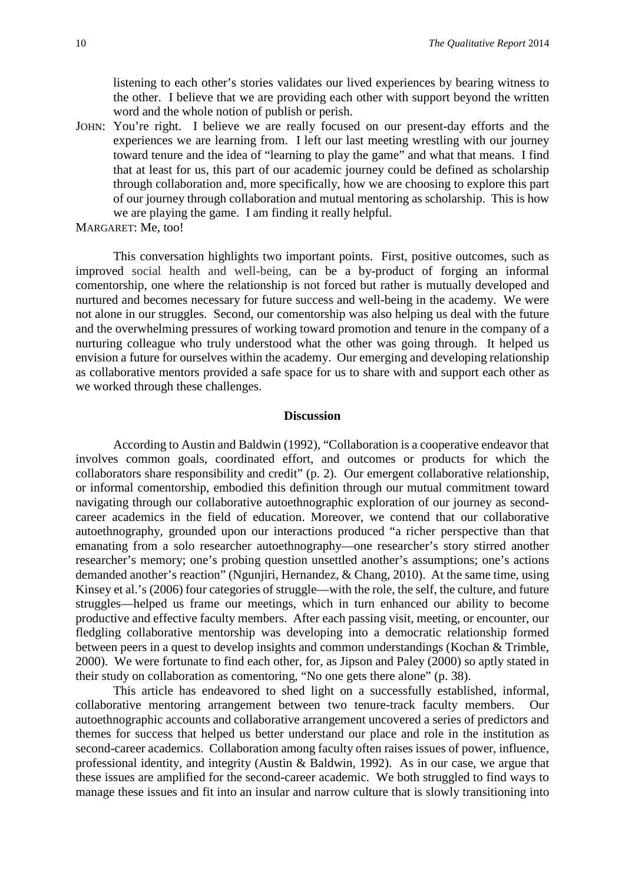listening to each other's stories validates our lived experiences by bearing witness to the other. I believe that we are providing each other with support beyond the written word and the whole notion of publish or perish.

JOHN: You're right. I believe we are really focused on our present-day efforts and the experiences we are learning from. I left our last meeting wrestling with our journey toward tenure and the idea of "learning to play the game" and what that means. I find that at least for us, this part of our academic journey could be defined as scholarship through collaboration and, more specifically, how we are choosing to explore this part of our journey through collaboration and mutual mentoring as scholarship. This is how we are playing the game. I am finding it really helpful.

```
MARGARET: Me, too!
```
This conversation highlights two important points. First, positive outcomes, such as improved social health and well-being, can be a by-product of forging an informal comentorship, one where the relationship is not forced but rather is mutually developed and nurtured and becomes necessary for future success and well-being in the academy. We were not alone in our struggles. Second, our comentorship was also helping us deal with the future and the overwhelming pressures of working toward promotion and tenure in the company of a nurturing colleague who truly understood what the other was going through. It helped us envision a future for ourselves within the academy. Our emerging and developing relationship as collaborative mentors provided a safe space for us to share with and support each other as we worked through these challenges.

#### **Discussion**

According to Austin and Baldwin (1992), "Collaboration is a cooperative endeavor that involves common goals, coordinated effort, and outcomes or products for which the collaborators share responsibility and credit" (p. 2). Our emergent collaborative relationship, or informal comentorship, embodied this definition through our mutual commitment toward navigating through our collaborative autoethnographic exploration of our journey as secondcareer academics in the field of education. Moreover, we contend that our collaborative autoethnography, grounded upon our interactions produced "a richer perspective than that emanating from a solo researcher autoethnography—one researcher's story stirred another researcher's memory; one's probing question unsettled another's assumptions; one's actions demanded another's reaction" (Ngunjiri, Hernandez, & Chang, 2010). At the same time, using Kinsey et al.'s (2006) four categories of struggle—with the role, the self, the culture, and future struggles—helped us frame our meetings, which in turn enhanced our ability to become productive and effective faculty members. After each passing visit, meeting, or encounter, our fledgling collaborative mentorship was developing into a democratic relationship formed between peers in a quest to develop insights and common understandings (Kochan & Trimble, 2000). We were fortunate to find each other, for, as Jipson and Paley (2000) so aptly stated in their study on collaboration as comentoring, "No one gets there alone" (p. 38).

This article has endeavored to shed light on a successfully established, informal, collaborative mentoring arrangement between two tenure-track faculty members. Our autoethnographic accounts and collaborative arrangement uncovered a series of predictors and themes for success that helped us better understand our place and role in the institution as second-career academics. Collaboration among faculty often raises issues of power, influence, professional identity, and integrity (Austin & Baldwin, 1992). As in our case, we argue that these issues are amplified for the second-career academic. We both struggled to find ways to manage these issues and fit into an insular and narrow culture that is slowly transitioning into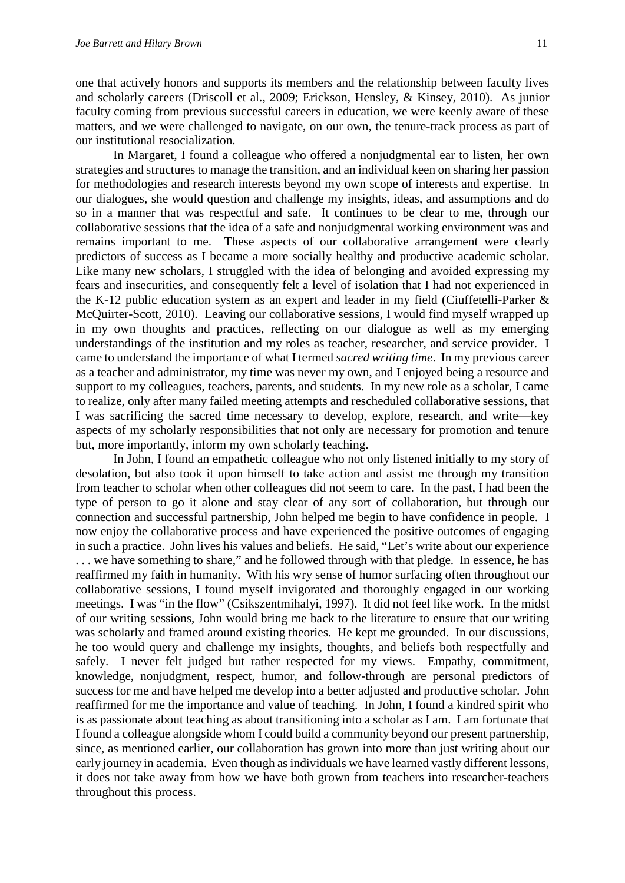one that actively honors and supports its members and the relationship between faculty lives and scholarly careers (Driscoll et al., 2009; Erickson, Hensley, & Kinsey, 2010). As junior faculty coming from previous successful careers in education, we were keenly aware of these matters, and we were challenged to navigate, on our own, the tenure-track process as part of our institutional resocialization.

In Margaret, I found a colleague who offered a nonjudgmental ear to listen, her own strategies and structures to manage the transition, and an individual keen on sharing her passion for methodologies and research interests beyond my own scope of interests and expertise. In our dialogues, she would question and challenge my insights, ideas, and assumptions and do so in a manner that was respectful and safe. It continues to be clear to me, through our collaborative sessions that the idea of a safe and nonjudgmental working environment was and remains important to me. These aspects of our collaborative arrangement were clearly predictors of success as I became a more socially healthy and productive academic scholar. Like many new scholars, I struggled with the idea of belonging and avoided expressing my fears and insecurities, and consequently felt a level of isolation that I had not experienced in the K-12 public education system as an expert and leader in my field (Ciuffetelli-Parker & McQuirter-Scott, 2010). Leaving our collaborative sessions, I would find myself wrapped up in my own thoughts and practices, reflecting on our dialogue as well as my emerging understandings of the institution and my roles as teacher, researcher, and service provider. I came to understand the importance of what I termed *sacred writing time*. In my previous career as a teacher and administrator, my time was never my own, and I enjoyed being a resource and support to my colleagues, teachers, parents, and students. In my new role as a scholar, I came to realize, only after many failed meeting attempts and rescheduled collaborative sessions, that I was sacrificing the sacred time necessary to develop, explore, research, and write—key aspects of my scholarly responsibilities that not only are necessary for promotion and tenure but, more importantly, inform my own scholarly teaching.

In John, I found an empathetic colleague who not only listened initially to my story of desolation, but also took it upon himself to take action and assist me through my transition from teacher to scholar when other colleagues did not seem to care. In the past, I had been the type of person to go it alone and stay clear of any sort of collaboration, but through our connection and successful partnership, John helped me begin to have confidence in people. I now enjoy the collaborative process and have experienced the positive outcomes of engaging in such a practice. John lives his values and beliefs. He said, "Let's write about our experience . . . we have something to share," and he followed through with that pledge. In essence, he has reaffirmed my faith in humanity. With his wry sense of humor surfacing often throughout our collaborative sessions, I found myself invigorated and thoroughly engaged in our working meetings. I was "in the flow" (Csikszentmihalyi, 1997). It did not feel like work. In the midst of our writing sessions, John would bring me back to the literature to ensure that our writing was scholarly and framed around existing theories. He kept me grounded. In our discussions, he too would query and challenge my insights, thoughts, and beliefs both respectfully and safely. I never felt judged but rather respected for my views. Empathy, commitment, knowledge, nonjudgment, respect, humor, and follow-through are personal predictors of success for me and have helped me develop into a better adjusted and productive scholar. John reaffirmed for me the importance and value of teaching. In John, I found a kindred spirit who is as passionate about teaching as about transitioning into a scholar as I am. I am fortunate that I found a colleague alongside whom I could build a community beyond our present partnership, since, as mentioned earlier, our collaboration has grown into more than just writing about our early journey in academia. Even though as individuals we have learned vastly different lessons, it does not take away from how we have both grown from teachers into researcher-teachers throughout this process.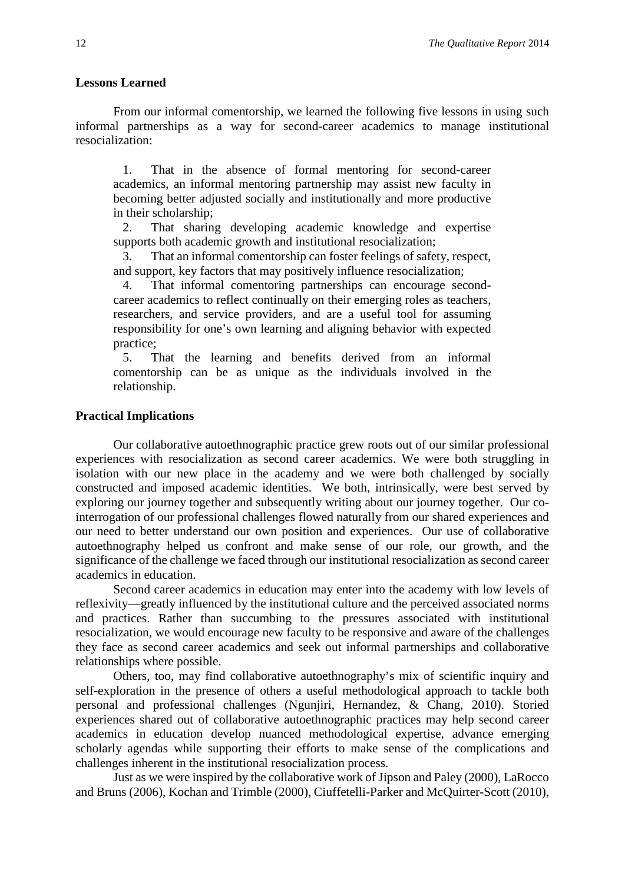#### **Lessons Learned**

From our informal comentorship, we learned the following five lessons in using such informal partnerships as a way for second-career academics to manage institutional resocialization:

1. That in the absence of formal mentoring for second-career academics, an informal mentoring partnership may assist new faculty in becoming better adjusted socially and institutionally and more productive in their scholarship;

2. That sharing developing academic knowledge and expertise supports both academic growth and institutional resocialization;

3. That an informal comentorship can foster feelings of safety, respect, and support, key factors that may positively influence resocialization;

4. That informal comentoring partnerships can encourage secondcareer academics to reflect continually on their emerging roles as teachers, researchers, and service providers, and are a useful tool for assuming responsibility for one's own learning and aligning behavior with expected practice;

5. That the learning and benefits derived from an informal comentorship can be as unique as the individuals involved in the relationship.

#### **Practical Implications**

Our collaborative autoethnographic practice grew roots out of our similar professional experiences with resocialization as second career academics. We were both struggling in isolation with our new place in the academy and we were both challenged by socially constructed and imposed academic identities. We both, intrinsically, were best served by exploring our journey together and subsequently writing about our journey together. Our cointerrogation of our professional challenges flowed naturally from our shared experiences and our need to better understand our own position and experiences. Our use of collaborative autoethnography helped us confront and make sense of our role, our growth, and the significance of the challenge we faced through our institutional resocialization as second career academics in education.

Second career academics in education may enter into the academy with low levels of reflexivity—greatly influenced by the institutional culture and the perceived associated norms and practices. Rather than succumbing to the pressures associated with institutional resocialization, we would encourage new faculty to be responsive and aware of the challenges they face as second career academics and seek out informal partnerships and collaborative relationships where possible.

Others, too, may find collaborative autoethnography's mix of scientific inquiry and self-exploration in the presence of others a useful methodological approach to tackle both personal and professional challenges (Ngunjiri, Hernandez, & Chang, 2010). Storied experiences shared out of collaborative autoethnographic practices may help second career academics in education develop nuanced methodological expertise, advance emerging scholarly agendas while supporting their efforts to make sense of the complications and challenges inherent in the institutional resocialization process.

Just as we were inspired by the collaborative work of Jipson and Paley (2000), LaRocco and Bruns (2006), Kochan and Trimble (2000), Ciuffetelli-Parker and McQuirter-Scott (2010),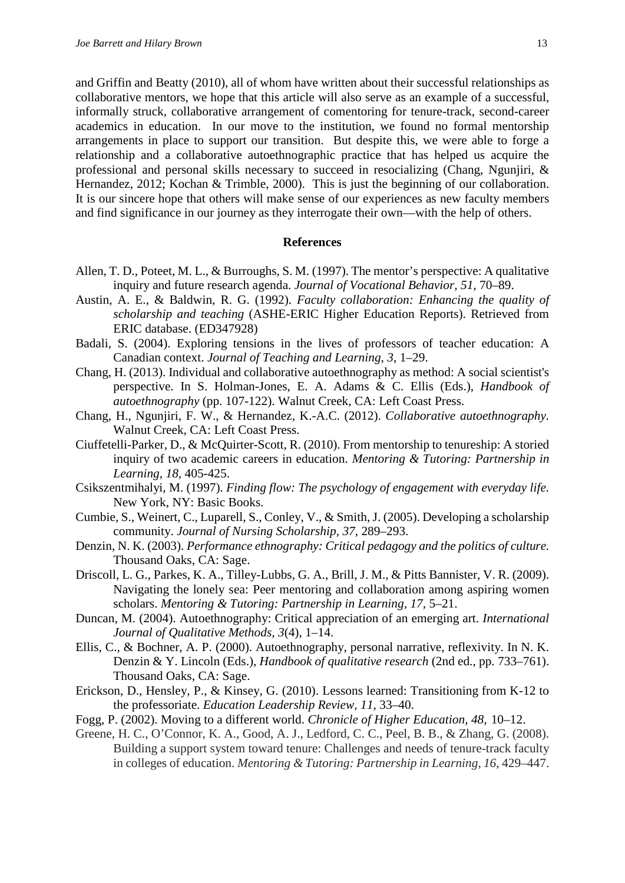and Griffin and Beatty (2010), all of whom have written about their successful relationships as collaborative mentors, we hope that this article will also serve as an example of a successful, informally struck, collaborative arrangement of comentoring for tenure-track, second-career academics in education. In our move to the institution, we found no formal mentorship arrangements in place to support our transition. But despite this, we were able to forge a relationship and a collaborative autoethnographic practice that has helped us acquire the professional and personal skills necessary to succeed in resocializing (Chang, Ngunjiri, & Hernandez, 2012; Kochan & Trimble, 2000). This is just the beginning of our collaboration. It is our sincere hope that others will make sense of our experiences as new faculty members and find significance in our journey as they interrogate their own—with the help of others.

#### **References**

- Allen, T. D., Poteet, M. L., & Burroughs, S. M. (1997). The mentor's perspective: A qualitative inquiry and future research agenda. *Journal of Vocational Behavior, 51,* 70–89.
- Austin, A. E., & Baldwin, R. G. (1992). *Faculty collaboration: Enhancing the quality of scholarship and teaching* (ASHE-ERIC Higher Education Reports). [Retrieved from](http://search.proquest.com.proxy.library.brocku.ca/docview.lateralsearchlink_1:lateralsearch/sng/pubtitle/Report:+EDO-HE-91-7.+4pp.+May+1992/$N?site=eric&t:ac=62940924/abstract/1340F454F907F136D56/1&t:cp=maintain/resultcitationblocks)  [ERIC database.](http://search.proquest.com.proxy.library.brocku.ca/docview.lateralsearchlink_1:lateralsearch/sng/pubtitle/Report:+EDO-HE-91-7.+4pp.+May+1992/$N?site=eric&t:ac=62940924/abstract/1340F454F907F136D56/1&t:cp=maintain/resultcitationblocks) (ED347928)
- Badali, S. (2004). Exploring tensions in the lives of professors of teacher education: A Canadian context. *Journal of Teaching and Learning*, *3*, 1–29.
- Chang, H. (2013). Individual and collaborative autoethnography as method: A social scientist's perspective. In S. Holman-Jones, E. A. Adams & C. Ellis (Eds.), *Handbook of autoethnography* (pp. 107-122). Walnut Creek, CA: Left Coast Press.
- Chang, H., Ngunjiri, F. W., & Hernandez, K.-A.C. (2012). *Collaborative autoethnography.* Walnut Creek, CA: Left Coast Press.
- Ciuffetelli-Parker, D., & McQuirter-Scott, R. (2010). From mentorship to tenureship: A storied inquiry of two academic careers in education. *Mentoring & Tutoring: Partnership in Learning, 18,* 405-425.
- Csikszentmihalyi, M. (1997). *Finding flow: The psychology of engagement with everyday life.*  New York, NY: Basic Books.
- Cumbie, S., Weinert, C., Luparell, S., Conley, V., & Smith, J. (2005). Developing a scholarship community. *Journal of Nursing Scholarship, 37*, 289–293.
- Denzin, N. K. (2003). *Performance ethnography: Critical pedagogy and the politics of culture.* Thousand Oaks, CA: Sage.
- Driscoll, L. G., Parkes, K. A., Tilley-Lubbs, G. A., Brill, J. M., & Pitts Bannister, V. R. (2009). Navigating the lonely sea: Peer mentoring and collaboration among aspiring women scholars. *Mentoring & Tutoring: Partnership in Learning, 17,* 5–21.
- Duncan, M. (2004). Autoethnography: Critical appreciation of an emerging art. *International Journal of Qualitative Methods, 3*(4), 1–14.
- Ellis, C., & Bochner, A. P. (2000). Autoethnography, personal narrative, reflexivity. In N. K. Denzin & Y. Lincoln (Eds.), *Handbook of qualitative research* (2nd ed., pp. 733–761). Thousand Oaks, CA: Sage.
- Erickson, D., Hensley, P., & Kinsey, G. (2010). Lessons learned: Transitioning from K-12 to the professoriate. *Education Leadership Review, 11*, 33–40.
- Fogg, P. (2002). Moving to a different world. *Chronicle of Higher Education, 48,* 10–12.
- Greene, H. C., O'Connor, K. A., Good, A. J., Ledford, C. C., Peel, B. B., & Zhang, G. (2008). Building a support system toward tenure: Challenges and needs of tenure-track faculty in colleges of education. *Mentoring & Tutoring: Partnership in Learning, 16*, 429–447.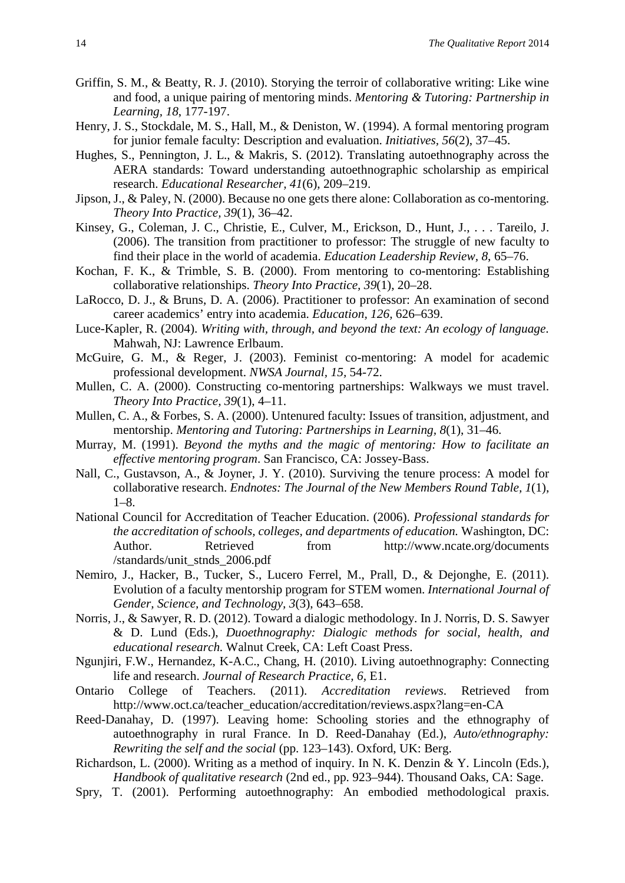- Griffin, S. M., & Beatty, R. J. (2010). Storying the terroir of collaborative writing: Like wine and food, a unique pairing of mentoring minds. *Mentoring & Tutoring: Partnership in Learning, 18*, 177-197.
- Henry, J. S., Stockdale, M. S., Hall, M., & Deniston, W. (1994). A formal mentoring program for junior female faculty: Description and evaluation. *Initiatives, 56*(2), 37–45.
- Hughes, S., Pennington, J. L., & Makris, S. (2012). Translating autoethnography across the AERA standards: Toward understanding autoethnographic scholarship as empirical research. *Educational Researcher, 41*(6), 209–219.
- Jipson, J., & Paley, N. (2000). Because no one gets there alone: Collaboration as co-mentoring. *Theory Into Practice, 39*(1), 36–42.
- Kinsey, G., Coleman, J. C., Christie, E., Culver, M., Erickson, D., Hunt, J., . . . Tareilo, J. (2006). The transition from practitioner to professor: The struggle of new faculty to find their place in the world of academia. *Education Leadership Review, 8*, 65–76.
- Kochan, F. K., & Trimble, S. B. (2000). From mentoring to co-mentoring: Establishing collaborative relationships. *Theory Into Practice, 39*(1), 20–28.
- LaRocco, D. J., & Bruns, D. A. (2006). Practitioner to professor: An examination of second career academics' entry into academia. *Education, 126,* 626–639.
- Luce-Kapler, R. (2004). *Writing with, through, and beyond the text: An ecology of language.* Mahwah, NJ: Lawrence Erlbaum.
- McGuire, G. M., & Reger, J. (2003). Feminist co-mentoring: A model for academic professional development. *NWSA Journal, 15,* 54-72.
- Mullen, C. A. (2000). Constructing co-mentoring partnerships: Walkways we must travel. *Theory Into Practice, 39*(1), 4–11.
- Mullen, C. A., & Forbes, S. A. (2000). Untenured faculty: Issues of transition, adjustment, and mentorship. *Mentoring and Tutoring: Partnerships in Learning, 8*(1), 31–46.
- Murray, M. (1991). *Beyond the myths and the magic of mentoring: How to facilitate an effective mentoring program*. San Francisco, CA: Jossey-Bass.
- Nall, C., Gustavson, A., & Joyner, J. Y. (2010). Surviving the tenure process: A model for collaborative research. *Endnotes: The Journal of the New Members Round Table, 1*(1),  $1 - 8$ .
- National Council for Accreditation of Teacher Education. (2006). *Professional standards for the accreditation of schools, colleges, and departments of education.* Washington, DC: Author. Retrieved from http://www.ncate.org/documents /standards/unit\_stnds\_2006.pdf
- Nemiro, J., Hacker, B., Tucker, S., Lucero Ferrel, M., Prall, D., & Dejonghe, E. (2011). Evolution of a faculty mentorship program for STEM women. *International Journal of Gender, Science, and Technology, 3*(3), 643–658.
- Norris, J., & Sawyer, R. D. (2012). Toward a dialogic methodology. In J. Norris, D. S. Sawyer & D. Lund (Eds.), *Duoethnography: Dialogic methods for social, health, and educational research.* Walnut Creek, CA: Left Coast Press.
- Ngunjiri, F.W., Hernandez, K-A.C., Chang, H. (2010). Living autoethnography: Connecting life and research. *Journal of Research Practice, 6,* E1.
- Ontario College of Teachers. (2011). *Accreditation reviews*. Retrieved from [http://www.oct.ca/teacher\\_education/accreditation/reviews.aspx?lang=en-C](http://www.oct.ca/teacher_education/accreditation/reviews.aspx?lang=en-)A
- Reed-Danahay, D. (1997). Leaving home: Schooling stories and the ethnography of autoethnography in rural France. In D. Reed-Danahay (Ed.), *Auto/ethnography: Rewriting the self and the social* (pp. 123–143). Oxford, UK: Berg.
- Richardson, L. (2000). Writing as a method of inquiry. In N. K. Denzin & Y. Lincoln (Eds.), *Handbook of qualitative research* (2nd ed., pp. 923–944). Thousand Oaks, CA: Sage.
- Spry, T. (2001). Performing autoethnography: An embodied methodological praxis.